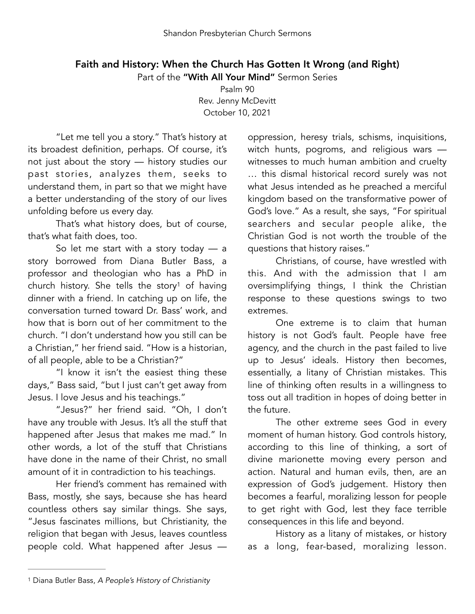## Faith and History: When the Church Has Gotten It Wrong (and Right)

Part of the "With All Your Mind" Sermon Series

Psalm 90 Rev. Jenny McDevitt October 10, 2021

"Let me tell you a story." That's history at its broadest definition, perhaps. Of course, it's not just about the story — history studies our past stories, analyzes them, seeks to understand them, in part so that we might have a better understanding of the story of our lives unfolding before us every day.

That's what history does, but of course, that's what faith does, too.

So let me start with a story today — a story borrowed from Diana Butler Bass, a professor and theologian who has a PhD in church history. She tells the story<sup>[1](#page-0-0)</sup> of having dinner with a friend. In catching up on life, the conversation turned toward Dr. Bass' work, and how that is born out of her commitment to the church. "I don't understand how you still can be a Christian," her friend said. "How is a historian, of all people, able to be a Christian?"

"I know it isn't the easiest thing these days," Bass said, "but I just can't get away from Jesus. I love Jesus and his teachings."

"Jesus?" her friend said. "Oh, I don't have any trouble with Jesus. It's all the stuff that happened after Jesus that makes me mad." In other words, a lot of the stuff that Christians have done in the name of their Christ, no small amount of it in contradiction to his teachings.

Her friend's comment has remained with Bass, mostly, she says, because she has heard countless others say similar things. She says, "Jesus fascinates millions, but Christianity, the religion that began with Jesus, leaves countless people cold. What happened after Jesus —

oppression, heresy trials, schisms, inquisitions, witch hunts, pogroms, and religious wars witnesses to much human ambition and cruelty … this dismal historical record surely was not what Jesus intended as he preached a merciful kingdom based on the transformative power of God's love." As a result, she says, "For spiritual searchers and secular people alike, the Christian God is not worth the trouble of the questions that history raises."

<span id="page-0-1"></span>Christians, of course, have wrestled with this. And with the admission that I am oversimplifying things, I think the Christian response to these questions swings to two extremes.

One extreme is to claim that human history is not God's fault. People have free agency, and the church in the past failed to live up to Jesus' ideals. History then becomes, essentially, a litany of Christian mistakes. This line of thinking often results in a willingness to toss out all tradition in hopes of doing better in the future.

The other extreme sees God in every moment of human history. God controls history, according to this line of thinking, a sort of divine marionette moving every person and action. Natural and human evils, then, are an expression of God's judgement. History then becomes a fearful, moralizing lesson for people to get right with God, lest they face terrible consequences in this life and beyond.

History as a litany of mistakes, or history as a long, fear-based, moralizing lesson.

<span id="page-0-0"></span>[<sup>1</sup>](#page-0-1) Diana Butler Bass, *A People's History of Christianity*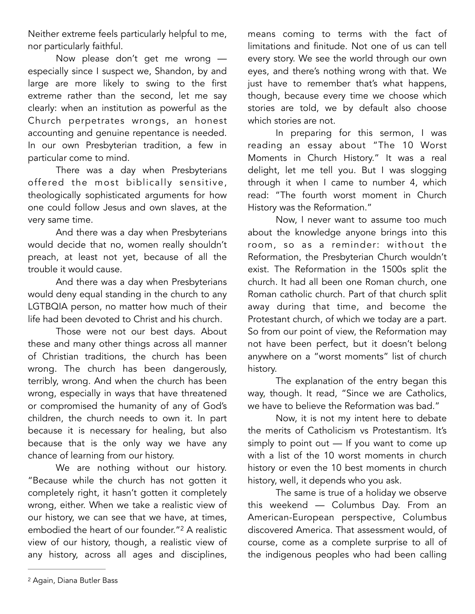Neither extreme feels particularly helpful to me, nor particularly faithful.

Now please don't get me wrong especially since I suspect we, Shandon, by and large are more likely to swing to the first extreme rather than the second, let me say clearly: when an institution as powerful as the Church perpetrates wrongs, an honest accounting and genuine repentance is needed. In our own Presbyterian tradition, a few in particular come to mind.

There was a day when Presbyterians offered the most biblically sensitive, theologically sophisticated arguments for how one could follow Jesus and own slaves, at the very same time.

And there was a day when Presbyterians would decide that no, women really shouldn't preach, at least not yet, because of all the trouble it would cause.

And there was a day when Presbyterians would deny equal standing in the church to any LGTBQIA person, no matter how much of their life had been devoted to Christ and his church.

Those were not our best days. About these and many other things across all manner of Christian traditions, the church has been wrong. The church has been dangerously, terribly, wrong. And when the church has been wrong, especially in ways that have threatened or compromised the humanity of any of God's children, the church needs to own it. In part because it is necessary for healing, but also because that is the only way we have any chance of learning from our history.

We are nothing without our history. "Because while the church has not gotten it completely right, it hasn't gotten it completely wrong, either. When we take a realistic view of our history, we can see that we have, at times, embodied the heart of our founder."<sup>[2](#page-1-0)</sup> A realistic view of our history, though, a realistic view of any history, across all ages and disciplines,

means coming to terms with the fact of limitations and finitude. Not one of us can tell every story. We see the world through our own eyes, and there's nothing wrong with that. We just have to remember that's what happens, though, because every time we choose which stories are told, we by default also choose which stories are not.

In preparing for this sermon, I was reading an essay about "The 10 Worst Moments in Church History." It was a real delight, let me tell you. But I was slogging through it when I came to number 4, which read: "The fourth worst moment in Church History was the Reformation."

Now, I never want to assume too much about the knowledge anyone brings into this room, so as a reminder: without the Reformation, the Presbyterian Church wouldn't exist. The Reformation in the 1500s split the church. It had all been one Roman church, one Roman catholic church. Part of that church split away during that time, and become the Protestant church, of which we today are a part. So from our point of view, the Reformation may not have been perfect, but it doesn't belong anywhere on a "worst moments" list of church history.

The explanation of the entry began this way, though. It read, "Since we are Catholics, we have to believe the Reformation was bad."

Now, it is not my intent here to debate the merits of Catholicism vs Protestantism. It's simply to point out — If you want to come up with a list of the 10 worst moments in church history or even the 10 best moments in church history, well, it depends who you ask.

<span id="page-1-1"></span>The same is true of a holiday we observe this weekend — Columbus Day. From an American-European perspective, Columbus discovered America. That assessment would, of course, come as a complete surprise to all of the indigenous peoples who had been calling

<span id="page-1-0"></span><sup>&</sup>lt;sup>[2](#page-1-1)</sup> Again, Diana Butler Bass